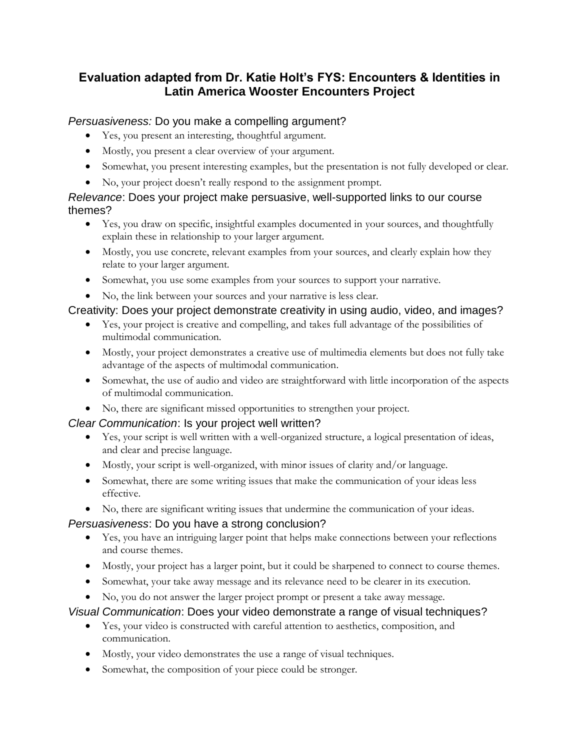# **Evaluation adapted from Dr. Katie Holt's FYS: Encounters & Identities in Latin America Wooster Encounters Project**

#### *Persuasiveness:* Do you make a compelling argument?

- Yes, you present an interesting, thoughtful argument.
- Mostly, you present a clear overview of your argument.
- Somewhat, you present interesting examples, but the presentation is not fully developed or clear.
- No, your project doesn't really respond to the assignment prompt.

#### *Relevance*: Does your project make persuasive, well-supported links to our course themes?

- Yes, you draw on specific, insightful examples documented in your sources, and thoughtfully explain these in relationship to your larger argument.
- Mostly, you use concrete, relevant examples from your sources, and clearly explain how they relate to your larger argument.
- Somewhat, you use some examples from your sources to support your narrative.
- No, the link between your sources and your narrative is less clear.

# Creativity: Does your project demonstrate creativity in using audio, video, and images?

- Yes, your project is creative and compelling, and takes full advantage of the possibilities of multimodal communication.
- Mostly, your project demonstrates a creative use of multimedia elements but does not fully take advantage of the aspects of multimodal communication.
- Somewhat, the use of audio and video are straightforward with little incorporation of the aspects of multimodal communication.
- No, there are significant missed opportunities to strengthen your project.

# *Clear Communication*: Is your project well written?

- Yes, your script is well written with a well-organized structure, a logical presentation of ideas, and clear and precise language.
- Mostly, your script is well-organized, with minor issues of clarity and/or language.
- Somewhat, there are some writing issues that make the communication of your ideas less effective.
- No, there are significant writing issues that undermine the communication of your ideas.

# *Persuasiveness*: Do you have a strong conclusion?

- Yes, you have an intriguing larger point that helps make connections between your reflections and course themes.
- Mostly, your project has a larger point, but it could be sharpened to connect to course themes.
- Somewhat, your take away message and its relevance need to be clearer in its execution.
- No, you do not answer the larger project prompt or present a take away message.

# *Visual Communication*: Does your video demonstrate a range of visual techniques?

- Yes, your video is constructed with careful attention to aesthetics, composition, and communication.
- Mostly, your video demonstrates the use a range of visual techniques.
- Somewhat, the composition of your piece could be stronger.